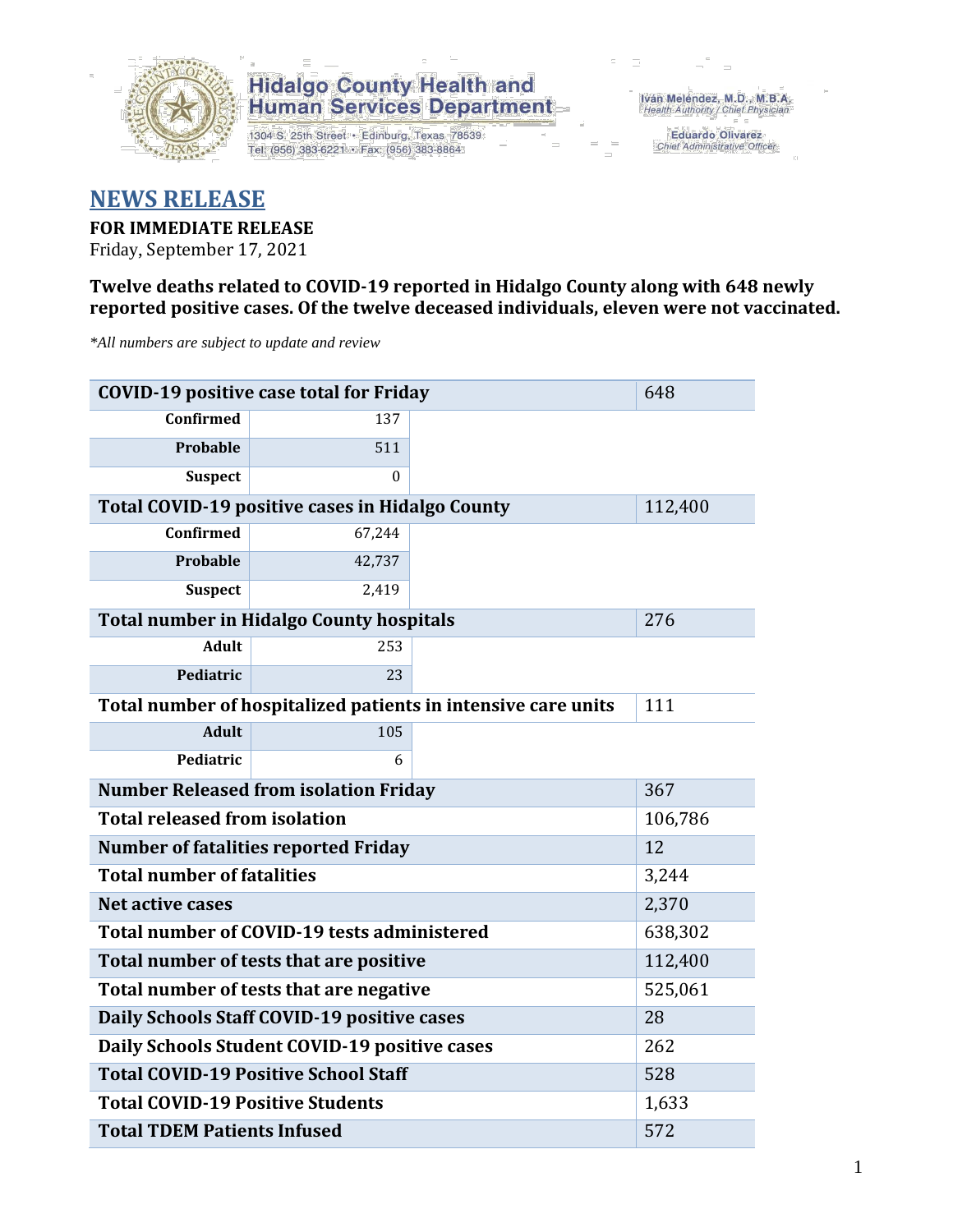

1304 S. 25th Street · Edinburg, Texas 78539 Tel: (956) 383-6221 · Fax: (956) 383-8864

Iván Meléndez, M.D., M.B.A. Health Authority / Chief Physician

> **Eduardo Olivarez** Chief Administrative Officer

#### **NEWS RELEASE**

**FOR IMMEDIATE RELEASE**

Friday, September 17, 2021

**Twelve deaths related to COVID-19 reported in Hidalgo County along with 648 newly reported positive cases. Of the twelve deceased individuals, eleven were not vaccinated.**

*\*All numbers are subject to update and review*

|                                                               | <b>COVID-19 positive case total for Friday</b>         |     | 648     |
|---------------------------------------------------------------|--------------------------------------------------------|-----|---------|
| <b>Confirmed</b>                                              | 137                                                    |     |         |
| <b>Probable</b>                                               | 511                                                    |     |         |
| <b>Suspect</b>                                                | $\Omega$                                               |     |         |
|                                                               | <b>Total COVID-19 positive cases in Hidalgo County</b> |     | 112,400 |
| <b>Confirmed</b>                                              | 67,244                                                 |     |         |
| <b>Probable</b>                                               | 42,737                                                 |     |         |
| <b>Suspect</b>                                                | 2,419                                                  |     |         |
|                                                               | <b>Total number in Hidalgo County hospitals</b>        |     | 276     |
| <b>Adult</b>                                                  | 253                                                    |     |         |
| Pediatric                                                     | 23                                                     |     |         |
| Total number of hospitalized patients in intensive care units | 111                                                    |     |         |
| <b>Adult</b>                                                  | 105                                                    |     |         |
| Pediatric                                                     | 6                                                      |     |         |
|                                                               | <b>Number Released from isolation Friday</b>           |     | 367     |
| <b>Total released from isolation</b>                          |                                                        |     | 106,786 |
|                                                               | <b>Number of fatalities reported Friday</b>            |     | 12      |
| <b>Total number of fatalities</b>                             |                                                        |     | 3,244   |
| Net active cases                                              |                                                        |     | 2,370   |
|                                                               | Total number of COVID-19 tests administered            |     | 638,302 |
|                                                               | Total number of tests that are positive                |     | 112,400 |
|                                                               | Total number of tests that are negative                |     | 525,061 |
|                                                               | Daily Schools Staff COVID-19 positive cases            |     | 28      |
|                                                               | Daily Schools Student COVID-19 positive cases          |     | 262     |
| <b>Total COVID-19 Positive School Staff</b>                   |                                                        | 528 |         |
| <b>Total COVID-19 Positive Students</b>                       | 1,633                                                  |     |         |
| <b>Total TDEM Patients Infused</b>                            | 572                                                    |     |         |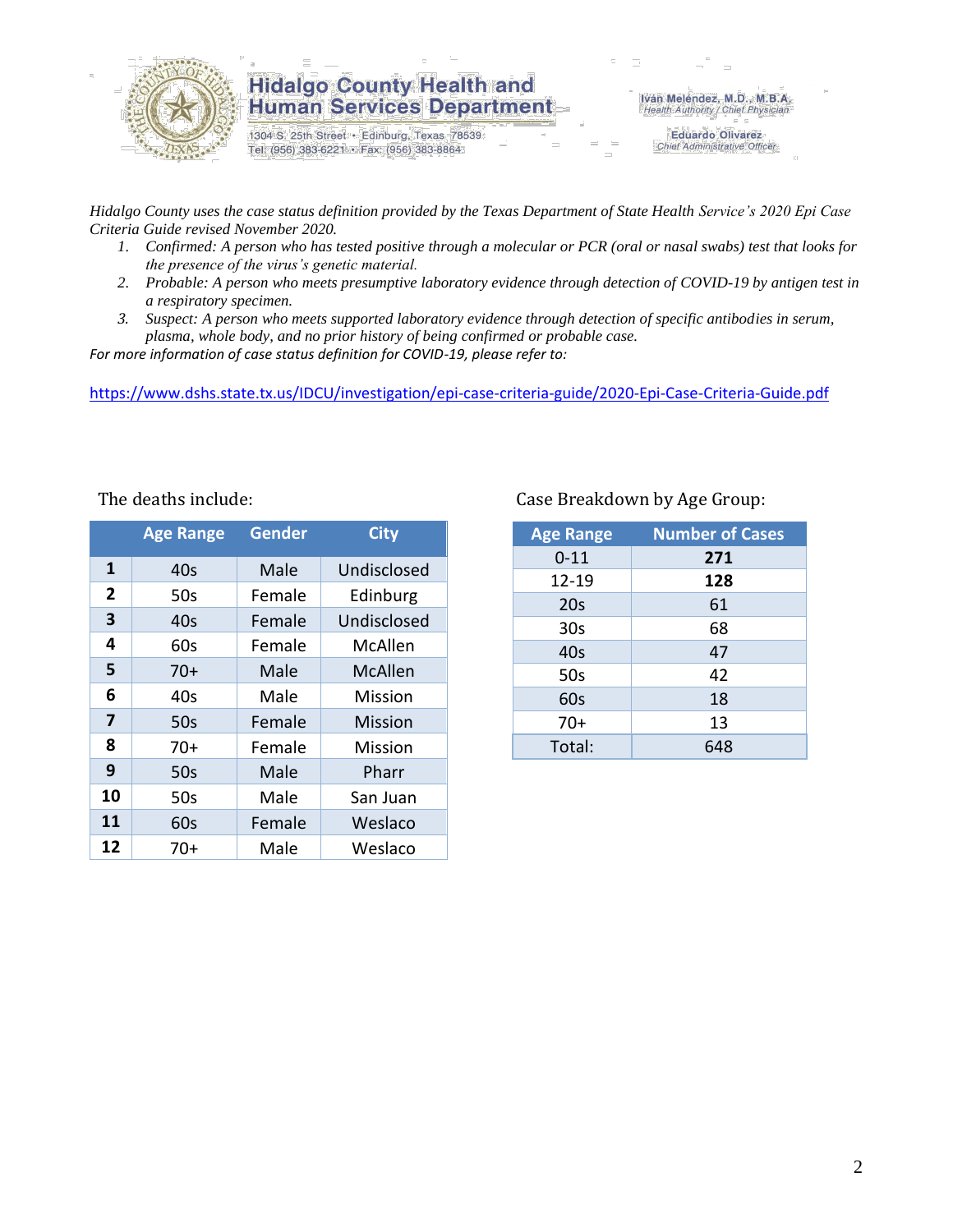

1304 S. 25th Street · Edinburg, Texas 78539 Tel: (956) 383-6221 · Fax: (956) 383-8864

Iván Meléndez, M.D., M.B.A. Health Authority / Chief Physician

**Eduardo Olivarez** Chief Administrative Officer

*Hidalgo County uses the case status definition provided by the Texas Department of State Health Service's 2020 Epi Case Criteria Guide revised November 2020.*

- *1. Confirmed: A person who has tested positive through a molecular or PCR (oral or nasal swabs) test that looks for the presence of the virus's genetic material.*
- *2. Probable: A person who meets presumptive laboratory evidence through detection of COVID-19 by antigen test in a respiratory specimen.*
- *3. Suspect: A person who meets supported laboratory evidence through detection of specific antibodies in serum, plasma, whole body, and no prior history of being confirmed or probable case.*

*For more information of case status definition for COVID-19, please refer to:*

<https://www.dshs.state.tx.us/IDCU/investigation/epi-case-criteria-guide/2020-Epi-Case-Criteria-Guide.pdf>

|                | <b>Age Range</b> | <b>Gender</b> | <b>City</b> |  |  |
|----------------|------------------|---------------|-------------|--|--|
| 1              | 40s              | Male          | Undisclosed |  |  |
| $\overline{2}$ | 50s              | Female        | Edinburg    |  |  |
| 3              | 40s              | Female        | Undisclosed |  |  |
| 4              | 60s              | Female        | McAllen     |  |  |
| 5              | $70+$            | Male          | McAllen     |  |  |
| 6              | 40s              | Male          | Mission     |  |  |
| 7              | 50s              | Female        | Mission     |  |  |
| 8              | 70+              | Female        | Mission     |  |  |
| 9              | 50s              | Male          | Pharr       |  |  |
| 10             | 50s              | Male          | San Juan    |  |  |
| 11             | 60s              | Female        | Weslaco     |  |  |
| 12             | 70+              | Male          | Weslaco     |  |  |

#### The deaths include: The deaths include: Case Breakdown by Age Group:

| <b>Age Range</b> | <b>Number of Cases</b> |
|------------------|------------------------|
| $0 - 11$         | 271                    |
| 12-19            | 128                    |
| 20s              | 61                     |
| 30 <sub>s</sub>  | 68                     |
| 40s              | 47                     |
| 50s              | 42                     |
| 60s              | 18                     |
| $70+$            | 13                     |
| Total:           | 648                    |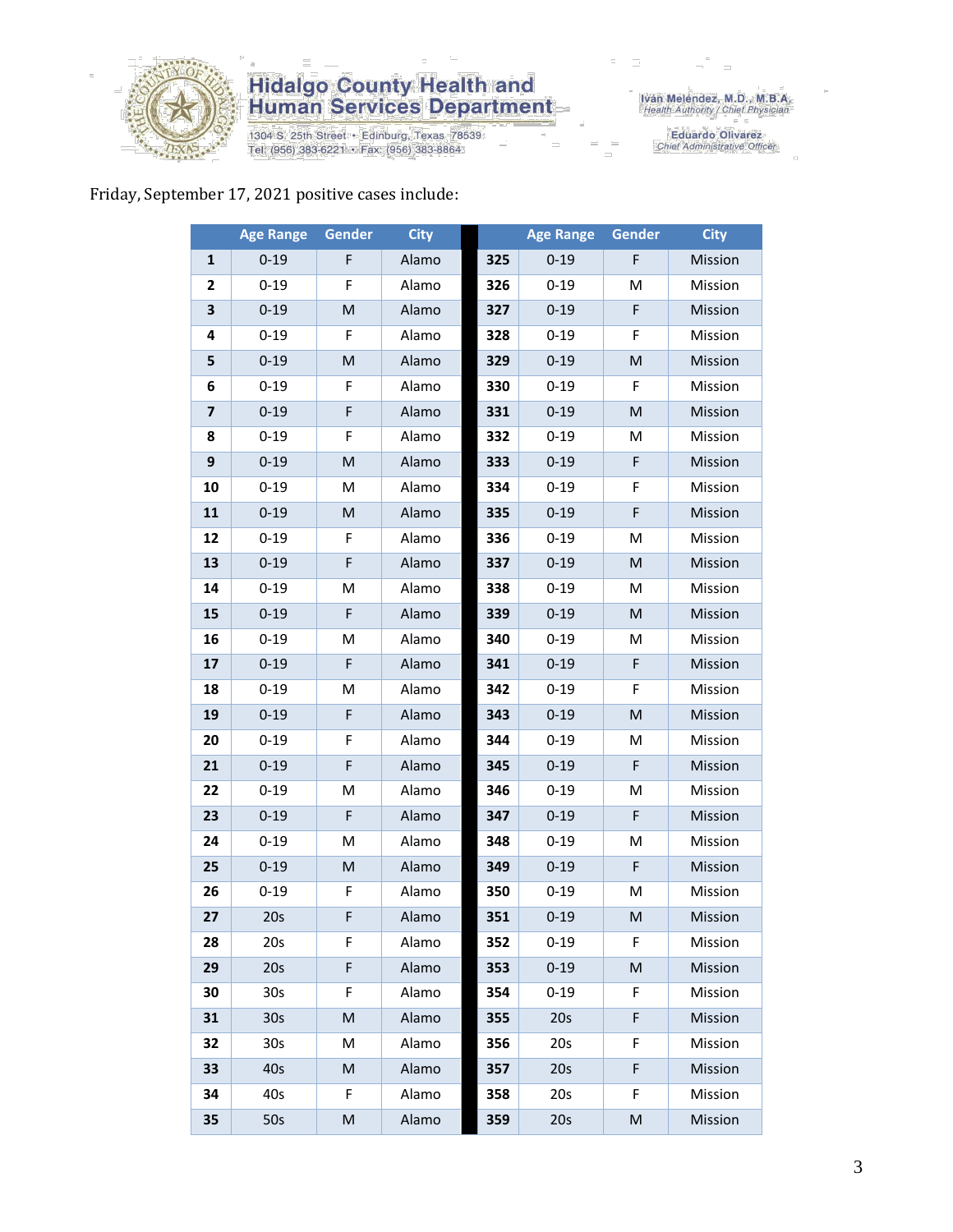

1304 S. 25th Street • Edinburg, Texas 78539<br>Tel: (956) 383-6221 • Fax: (956) 383-8864

Iván Meléndez, M.D., M.B.A.<br>Health Authority / Chief Physician

Eduardo Olivarez<br>Chief Administrative Officer

#### Friday, September 17, 2021 positive cases include:

|                | <b>Age Range</b> | Gender    | <b>City</b> |     | <b>Age Range</b> | Gender    | <b>City</b> |
|----------------|------------------|-----------|-------------|-----|------------------|-----------|-------------|
| $\mathbf{1}$   | $0 - 19$         | F         | Alamo       | 325 | $0 - 19$         | F         | Mission     |
| 2              | $0 - 19$         | F         | Alamo       | 326 | $0 - 19$         | M         | Mission     |
| 3              | $0 - 19$         | M         | Alamo       | 327 | $0 - 19$         | F         | Mission     |
| 4              | $0 - 19$         | F         | Alamo       | 328 | $0 - 19$         | F         | Mission     |
| 5              | $0 - 19$         | M         | Alamo       | 329 | $0 - 19$         | M         | Mission     |
| 6              | $0 - 19$         | F         | Alamo       | 330 | $0 - 19$         | F         | Mission     |
| $\overline{7}$ | $0 - 19$         | F         | Alamo       | 331 | $0 - 19$         | M         | Mission     |
| 8              | $0 - 19$         | F         | Alamo       | 332 | $0 - 19$         | M         | Mission     |
| 9              | $0 - 19$         | M         | Alamo       | 333 | $0 - 19$         | F         | Mission     |
| 10             | $0 - 19$         | M         | Alamo       | 334 | $0 - 19$         | F         | Mission     |
| 11             | $0 - 19$         | ${\sf M}$ | Alamo       | 335 | $0 - 19$         | F         | Mission     |
| 12             | $0 - 19$         | F         | Alamo       | 336 | $0 - 19$         | M         | Mission     |
| 13             | $0 - 19$         | F         | Alamo       | 337 | $0 - 19$         | M         | Mission     |
| 14             | $0 - 19$         | M         | Alamo       | 338 | $0 - 19$         | M         | Mission     |
| 15             | $0 - 19$         | F         | Alamo       | 339 | $0 - 19$         | M         | Mission     |
| 16             | $0 - 19$         | M         | Alamo       | 340 | $0 - 19$         | M         | Mission     |
| 17             | $0 - 19$         | F         | Alamo       | 341 | $0 - 19$         | F         | Mission     |
| 18             | $0 - 19$         | M         | Alamo       | 342 | $0 - 19$         | F         | Mission     |
| 19             | $0 - 19$         | F         | Alamo       | 343 | $0 - 19$         | M         | Mission     |
| 20             | $0 - 19$         | F         | Alamo       | 344 | $0 - 19$         | M         | Mission     |
| 21             | $0 - 19$         | F         | Alamo       | 345 | $0 - 19$         | F         | Mission     |
| 22             | $0 - 19$         | M         | Alamo       | 346 | $0 - 19$         | M         | Mission     |
| 23             | $0 - 19$         | F         | Alamo       | 347 | $0 - 19$         | F         | Mission     |
| 24             | $0 - 19$         | M         | Alamo       | 348 | $0 - 19$         | M         | Mission     |
| 25             | $0 - 19$         | ${\sf M}$ | Alamo       | 349 | $0 - 19$         | F         | Mission     |
| 26             | $0 - 19$         | F         | Alamo       | 350 | $0 - 19$         | M         | Mission     |
| 27             | 20s              | F         | Alamo       | 351 | $0 - 19$         | M         | Mission     |
| 28             | 20s              | F         | Alamo       | 352 | $0 - 19$         | F         | Mission     |
| 29             | 20s              | F         | Alamo       | 353 | $0 - 19$         | M         | Mission     |
| 30             | 30 <sub>s</sub>  | F.        | Alamo       | 354 | $0 - 19$         | F         | Mission     |
| 31             | 30 <sub>s</sub>  | M         | Alamo       | 355 | 20s              | F         | Mission     |
| 32             | 30s              | M         | Alamo       | 356 | 20s              | F         | Mission     |
| 33             | 40s              | M         | Alamo       | 357 | 20s              | F         | Mission     |
| 34             | 40s              | F         | Alamo       | 358 | 20s              | F         | Mission     |
| 35             | 50s              | M         | Alamo       | 359 | 20s              | ${\sf M}$ | Mission     |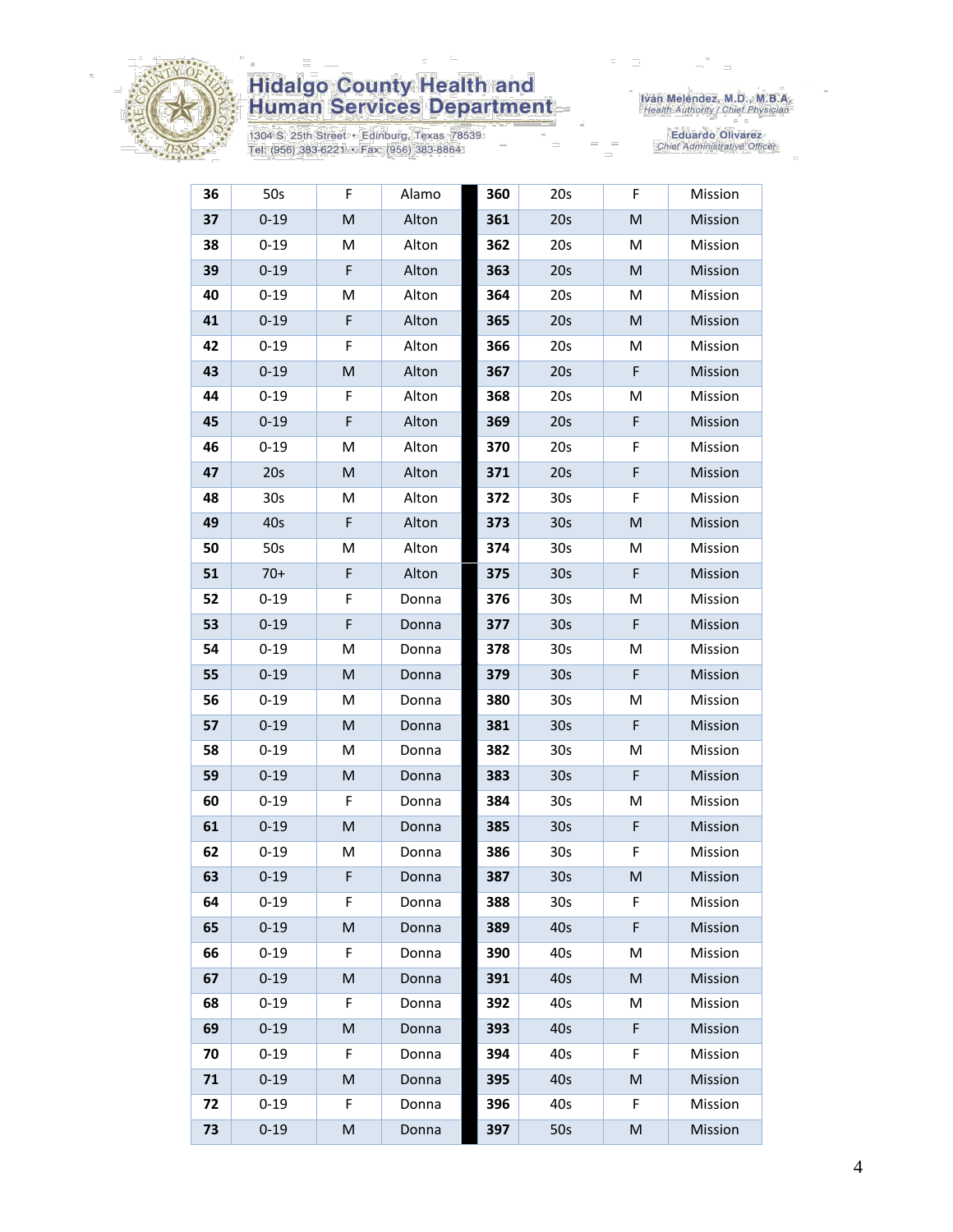

1304 S. 25th Street • Edinburg, Texas 78539<br>Tel: (956) 383-6221 • Fax: (956) 383-8864

Iván Meléndez, M.D., M.B.A.<br>Health Authority / Chief Physician

| 36 | 50s             | F                                                                                                          | Alamo | 360 | 20s             | F | Mission        |
|----|-----------------|------------------------------------------------------------------------------------------------------------|-------|-----|-----------------|---|----------------|
| 37 | $0 - 19$        | M                                                                                                          | Alton | 361 | 20s             | M | Mission        |
| 38 | $0 - 19$        | M                                                                                                          | Alton | 362 | 20s             | M | Mission        |
| 39 | $0 - 19$        | F                                                                                                          | Alton | 363 | 20s             | M | Mission        |
| 40 | $0 - 19$        | M                                                                                                          | Alton | 364 | 20s             | M | Mission        |
| 41 | $0 - 19$        | $\mathsf F$                                                                                                | Alton | 365 | 20s             | M | Mission        |
| 42 | $0 - 19$        | F                                                                                                          | Alton | 366 | 20s             | M | Mission        |
| 43 | $0 - 19$        | M                                                                                                          | Alton | 367 | 20s             | F | Mission        |
| 44 | $0 - 19$        | F                                                                                                          | Alton | 368 | 20s             | M | Mission        |
| 45 | $0 - 19$        | $\mathsf F$                                                                                                | Alton | 369 | 20s             | F | Mission        |
| 46 | $0 - 19$        | M                                                                                                          | Alton | 370 | 20s             | F | Mission        |
| 47 | 20s             | M                                                                                                          | Alton | 371 | 20s             | F | Mission        |
| 48 | 30 <sub>s</sub> | M                                                                                                          | Alton | 372 | 30 <sub>s</sub> | F | Mission        |
| 49 | 40s             | $\mathsf F$                                                                                                | Alton | 373 | 30 <sub>s</sub> | M | <b>Mission</b> |
| 50 | 50s             | M                                                                                                          | Alton | 374 | 30 <sub>s</sub> | M | Mission        |
| 51 | $70+$           | F                                                                                                          | Alton | 375 | 30 <sub>s</sub> | F | Mission        |
| 52 | $0 - 19$        | F                                                                                                          | Donna | 376 | 30 <sub>s</sub> | M | Mission        |
| 53 | $0 - 19$        | F                                                                                                          | Donna | 377 | 30 <sub>s</sub> | F | Mission        |
| 54 | $0 - 19$        | M                                                                                                          | Donna | 378 | 30 <sub>s</sub> | M | Mission        |
| 55 | $0 - 19$        | M                                                                                                          | Donna | 379 | 30 <sub>s</sub> | F | Mission        |
| 56 | $0 - 19$        | М                                                                                                          | Donna | 380 | 30 <sub>s</sub> | M | Mission        |
| 57 | $0 - 19$        | M                                                                                                          | Donna | 381 | 30 <sub>s</sub> | F | Mission        |
| 58 | $0 - 19$        | M                                                                                                          | Donna | 382 | 30 <sub>s</sub> | M | Mission        |
| 59 | $0 - 19$        | $\mathsf{M}% _{T}=\mathsf{M}_{T}\!\left( a,b\right) ,\ \mathsf{M}_{T}=\mathsf{M}_{T}\!\left( a,b\right) ,$ | Donna | 383 | 30 <sub>s</sub> | F | Mission        |
| 60 | $0 - 19$        | F                                                                                                          | Donna | 384 | 30 <sub>s</sub> | M | Mission        |
| 61 | $0 - 19$        | M                                                                                                          | Donna | 385 | 30 <sub>s</sub> | F | Mission        |
| 62 | $0 - 19$        | М                                                                                                          | Donna | 386 | 30 <sub>s</sub> | F | Mission        |
| 63 | $0 - 19$        | F                                                                                                          | Donna | 387 | 30s             | M | Mission        |
| 64 | $0 - 19$        | F.                                                                                                         | Donna | 388 | 30 <sub>s</sub> | F | Mission        |
| 65 | $0 - 19$        | M                                                                                                          | Donna | 389 | 40s             | F | Mission        |
| 66 | $0 - 19$        | F.                                                                                                         | Donna | 390 | 40s             | M | Mission        |
| 67 | $0 - 19$        | M                                                                                                          | Donna | 391 | 40s             | M | Mission        |
| 68 | $0 - 19$        | F                                                                                                          | Donna | 392 | 40s             | M | Mission        |
| 69 | $0 - 19$        | M                                                                                                          | Donna | 393 | 40s             | F | Mission        |
| 70 | $0 - 19$        | F                                                                                                          | Donna | 394 | 40s             | F | Mission        |
| 71 | $0 - 19$        | M                                                                                                          | Donna | 395 | 40s             | M | Mission        |
| 72 | $0 - 19$        | F                                                                                                          | Donna | 396 | 40s             | F | Mission        |
| 73 | $0 - 19$        | M                                                                                                          | Donna | 397 | 50s             | M | Mission        |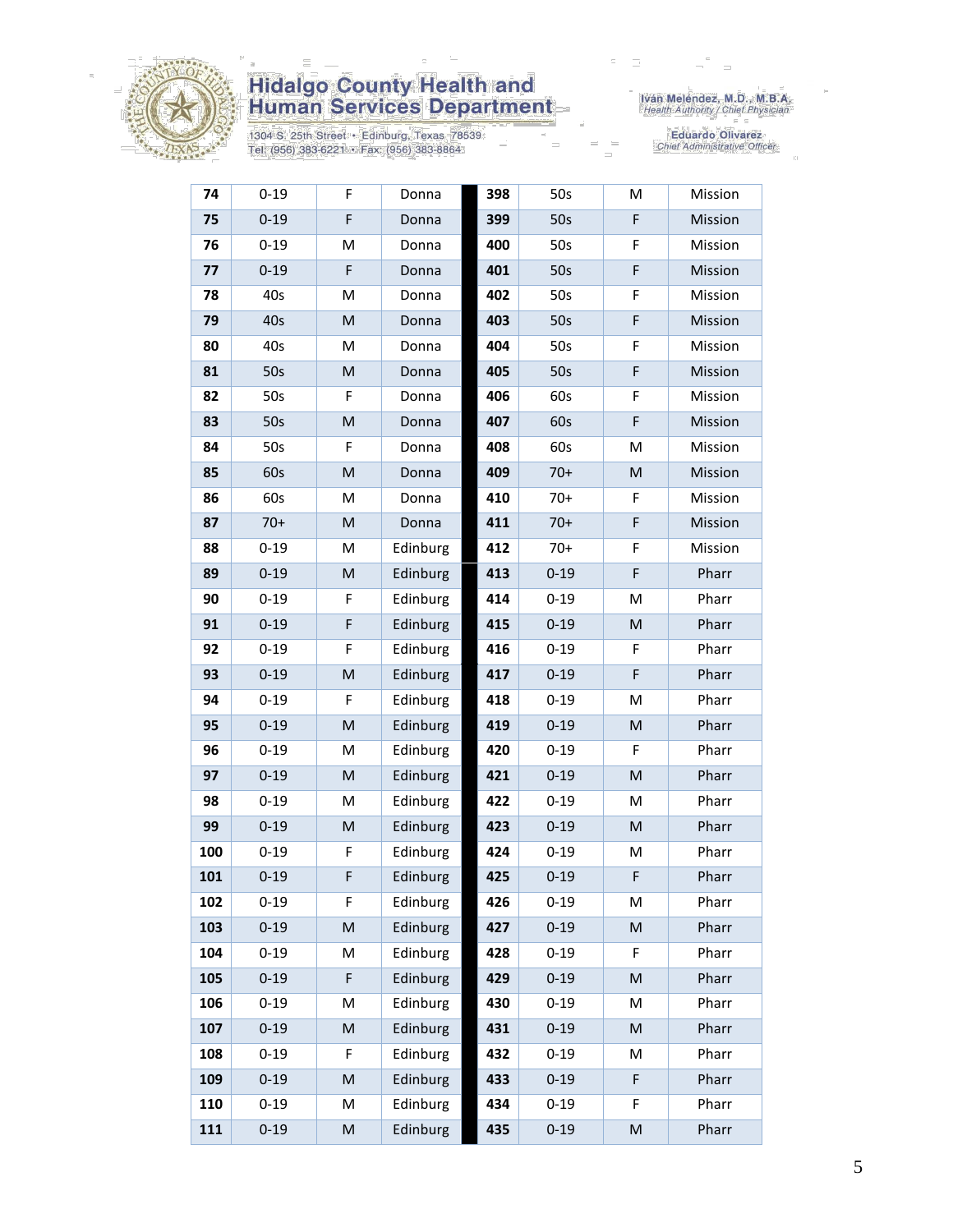

1304 S. 25th Street • Edinburg, Texas 78539<br>Tel: (956) 383-6221 • Fax: (956) 383-8864

Iván Meléndez, M.D., M.B.A.<br>Health Authority / Chief Physician

| 74  | $0 - 19$ | F                                                                                                          | Donna    | 398 | 50s      | M         | Mission |
|-----|----------|------------------------------------------------------------------------------------------------------------|----------|-----|----------|-----------|---------|
| 75  | $0 - 19$ | F                                                                                                          | Donna    | 399 | 50s      | F         | Mission |
| 76  | $0 - 19$ | M                                                                                                          | Donna    | 400 | 50s      | F         | Mission |
| 77  | $0 - 19$ | F                                                                                                          | Donna    | 401 | 50s      | F         | Mission |
| 78  | 40s      | M                                                                                                          | Donna    | 402 | 50s      | F         | Mission |
| 79  | 40s      | M                                                                                                          | Donna    | 403 | 50s      | F         | Mission |
| 80  | 40s      | М                                                                                                          | Donna    | 404 | 50s      | F         | Mission |
| 81  | 50s      | M                                                                                                          | Donna    | 405 | 50s      | F         | Mission |
| 82  | 50s      | F                                                                                                          | Donna    | 406 | 60s      | F         | Mission |
| 83  | 50s      | $\mathsf{M}% _{T}=\mathsf{M}_{T}\!\left( a,b\right) ,\ \mathsf{M}_{T}=\mathsf{M}_{T}\!\left( a,b\right) ,$ | Donna    | 407 | 60s      | F         | Mission |
| 84  | 50s      | F                                                                                                          | Donna    | 408 | 60s      | M         | Mission |
| 85  | 60s      | M                                                                                                          | Donna    | 409 | $70+$    | M         | Mission |
| 86  | 60s      | M                                                                                                          | Donna    | 410 | $70+$    | F         | Mission |
| 87  | $70+$    | M                                                                                                          | Donna    | 411 | $70+$    | F         | Mission |
| 88  | $0 - 19$ | M                                                                                                          | Edinburg | 412 | $70+$    | F         | Mission |
| 89  | $0 - 19$ | M                                                                                                          | Edinburg | 413 | $0 - 19$ | F         | Pharr   |
| 90  | $0 - 19$ | F                                                                                                          | Edinburg | 414 | $0 - 19$ | M         | Pharr   |
| 91  | $0 - 19$ | F                                                                                                          | Edinburg | 415 | $0 - 19$ | M         | Pharr   |
| 92  | $0 - 19$ | F                                                                                                          | Edinburg | 416 | $0 - 19$ | F         | Pharr   |
| 93  | $0 - 19$ | M                                                                                                          | Edinburg | 417 | $0 - 19$ | F         | Pharr   |
| 94  | $0 - 19$ | F                                                                                                          | Edinburg | 418 | $0 - 19$ | M         | Pharr   |
| 95  | $0 - 19$ | M                                                                                                          | Edinburg | 419 | $0 - 19$ | ${\sf M}$ | Pharr   |
| 96  | $0 - 19$ | M                                                                                                          | Edinburg | 420 | $0 - 19$ | F         | Pharr   |
| 97  | $0 - 19$ | M                                                                                                          | Edinburg | 421 | $0 - 19$ | ${\sf M}$ | Pharr   |
| 98  | $0 - 19$ | M                                                                                                          | Edinburg | 422 | $0 - 19$ | M         | Pharr   |
| 99  | $0 - 19$ | M                                                                                                          | Edinburg | 423 | $0 - 19$ | M         | Pharr   |
| 100 | $0 - 19$ | F                                                                                                          | Edinburg | 424 | $0 - 19$ | M         | Pharr   |
| 101 | $0 - 19$ | F                                                                                                          | Edinburg | 425 | $0 - 19$ | F         | Pharr   |
| 102 | $0 - 19$ | F                                                                                                          | Edinburg | 426 | $0 - 19$ | M         | Pharr   |
| 103 | $0 - 19$ | M                                                                                                          | Edinburg | 427 | $0 - 19$ | M         | Pharr   |
| 104 | $0 - 19$ | M                                                                                                          | Edinburg | 428 | $0 - 19$ | F         | Pharr   |
| 105 | $0 - 19$ | F                                                                                                          | Edinburg | 429 | $0 - 19$ | M         | Pharr   |
| 106 | $0 - 19$ | M                                                                                                          | Edinburg | 430 | $0 - 19$ | M         | Pharr   |
| 107 | $0 - 19$ | M                                                                                                          | Edinburg | 431 | $0 - 19$ | M         | Pharr   |
| 108 | $0 - 19$ | F                                                                                                          | Edinburg | 432 | $0 - 19$ | M         | Pharr   |
| 109 | $0 - 19$ | M                                                                                                          | Edinburg | 433 | $0 - 19$ | F         | Pharr   |
| 110 | $0 - 19$ | Μ                                                                                                          | Edinburg | 434 | $0 - 19$ | F         | Pharr   |
| 111 | $0 - 19$ | M                                                                                                          | Edinburg | 435 | $0 - 19$ | ${\sf M}$ | Pharr   |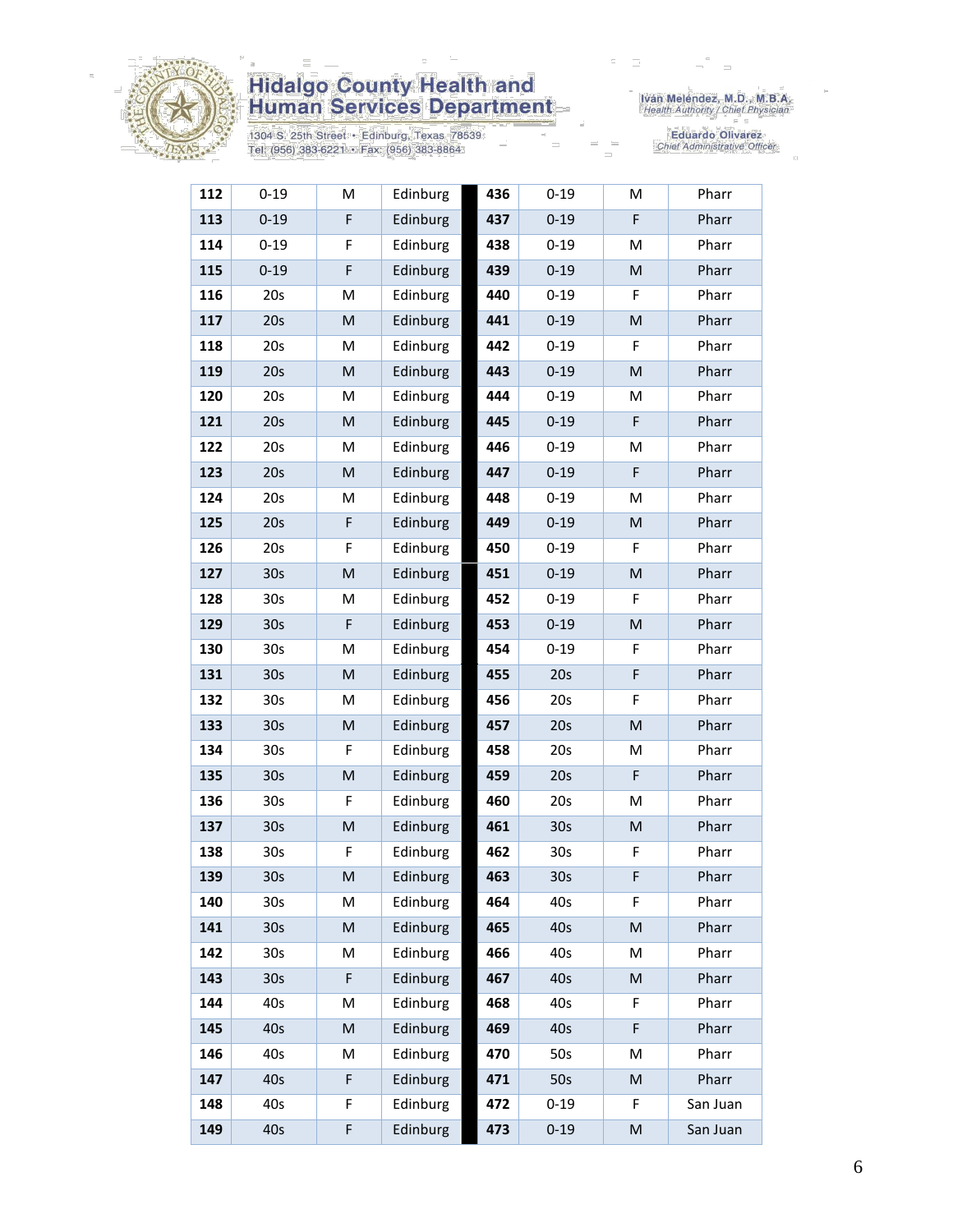

1304 S. 25th Street • Edinburg, Texas 78539<br>Tel: (956) 383-6221 • Fax: (956) 383-8864

Iván Meléndez, M.D., M.B.A.<br>Health Authority / Chief Physician

| 112 | $0 - 19$        | М           | Edinburg | 436 | $0 - 19$        | M         | Pharr    |
|-----|-----------------|-------------|----------|-----|-----------------|-----------|----------|
| 113 | $0 - 19$        | F           | Edinburg | 437 | $0 - 19$        | F         | Pharr    |
| 114 | $0 - 19$        | F           | Edinburg | 438 | $0 - 19$        | M         | Pharr    |
| 115 | $0 - 19$        | F           | Edinburg | 439 | $0 - 19$        | M         | Pharr    |
| 116 | 20s             | M           | Edinburg | 440 | $0 - 19$        | F         | Pharr    |
| 117 | 20s             | M           | Edinburg | 441 | $0 - 19$        | ${\sf M}$ | Pharr    |
| 118 | 20s             | Μ           | Edinburg | 442 | $0 - 19$        | F         | Pharr    |
| 119 | 20s             | M           | Edinburg | 443 | $0 - 19$        | ${\sf M}$ | Pharr    |
| 120 | 20s             | М           | Edinburg | 444 | $0 - 19$        | M         | Pharr    |
| 121 | 20s             | M           | Edinburg | 445 | $0 - 19$        | F         | Pharr    |
| 122 | 20s             | М           | Edinburg | 446 | $0 - 19$        | M         | Pharr    |
| 123 | 20s             | M           | Edinburg | 447 | $0 - 19$        | F         | Pharr    |
| 124 | 20s             | М           | Edinburg | 448 | $0 - 19$        | M         | Pharr    |
| 125 | 20s             | $\mathsf F$ | Edinburg | 449 | $0 - 19$        | ${\sf M}$ | Pharr    |
| 126 | 20s             | F           | Edinburg | 450 | $0 - 19$        | F         | Pharr    |
| 127 | 30s             | M           | Edinburg | 451 | $0 - 19$        | M         | Pharr    |
| 128 | 30s             | Μ           | Edinburg | 452 | $0 - 19$        | F         | Pharr    |
| 129 | 30 <sub>s</sub> | F           | Edinburg | 453 | $0 - 19$        | ${\sf M}$ | Pharr    |
| 130 | 30s             | M           | Edinburg | 454 | $0 - 19$        | F         | Pharr    |
| 131 | 30 <sub>s</sub> | M           | Edinburg | 455 | 20s             | F         | Pharr    |
| 132 | 30 <sub>s</sub> | Μ           | Edinburg | 456 | 20s             | F         | Pharr    |
| 133 | 30 <sub>s</sub> | M           | Edinburg | 457 | 20s             | ${\sf M}$ | Pharr    |
| 134 | 30 <sub>s</sub> | F           | Edinburg | 458 | 20s             | M         | Pharr    |
| 135 | 30s             | M           | Edinburg | 459 | 20s             | F         | Pharr    |
| 136 | 30s             | F           | Edinburg | 460 | 20s             | M         | Pharr    |
| 137 | 30s             | M           | Edinburg | 461 | 30s             | ${\sf M}$ | Pharr    |
| 138 | 30s             | F           | Edinburg | 462 | 30s             | F         | Pharr    |
| 139 | 30 <sub>s</sub> | M           | Edinburg | 463 | 30 <sub>s</sub> | F         | Pharr    |
| 140 | 30 <sub>s</sub> | М           | Edinburg | 464 | 40s             | F.        | Pharr    |
| 141 | 30 <sub>s</sub> | M           | Edinburg | 465 | 40s             | M         | Pharr    |
| 142 | 30s             | Μ           | Edinburg | 466 | 40s             | M         | Pharr    |
| 143 | 30 <sub>s</sub> | F           | Edinburg | 467 | 40s             | M         | Pharr    |
| 144 | 40s             | Μ           | Edinburg | 468 | 40s             | F         | Pharr    |
| 145 | 40s             | M           | Edinburg | 469 | 40s             | F         | Pharr    |
| 146 | 40s             | Μ           | Edinburg | 470 | 50s             | M         | Pharr    |
| 147 | 40s             | F           | Edinburg | 471 | 50s             | M         | Pharr    |
| 148 | 40s             | F           | Edinburg | 472 | $0 - 19$        | F         | San Juan |
| 149 | 40s             | F           | Edinburg | 473 | $0 - 19$        | M         | San Juan |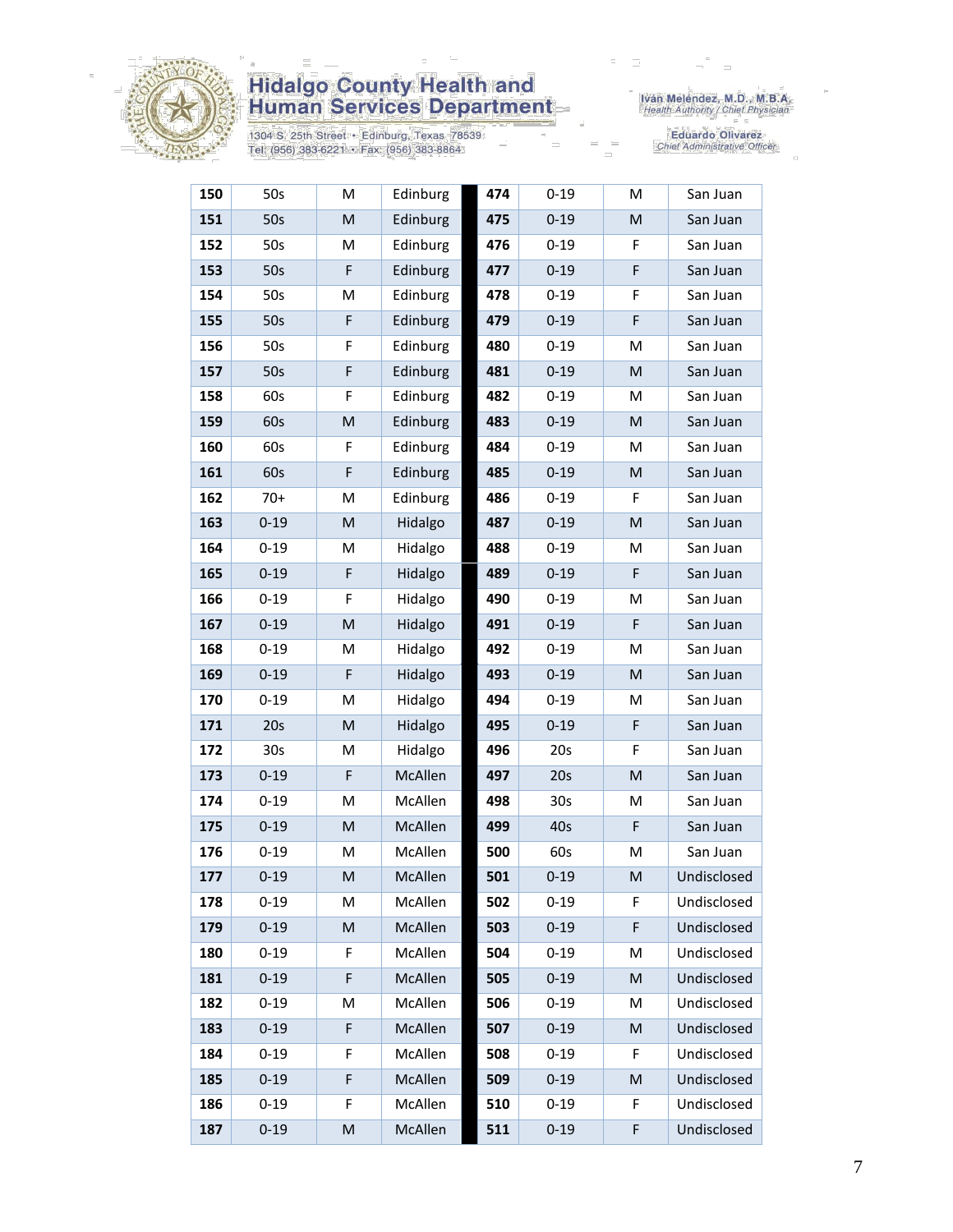

1304 S. 25th Street • Edinburg, Texas 78539<br>Tel: (956) 383-6221 • Fax: (956) 383-8864

Iván Meléndez, M.D., M.B.A.<br>Health Authority / Chief Physician

| 150 | 50s             | M | Edinburg | 474 | $0 - 19$        | M                                                                                                          | San Juan    |
|-----|-----------------|---|----------|-----|-----------------|------------------------------------------------------------------------------------------------------------|-------------|
| 151 | 50s             | M | Edinburg | 475 | $0 - 19$        | ${\sf M}$                                                                                                  | San Juan    |
| 152 | 50s             | М | Edinburg | 476 | $0 - 19$        | F                                                                                                          | San Juan    |
| 153 | 50s             | F | Edinburg | 477 | $0 - 19$        | F                                                                                                          | San Juan    |
| 154 | 50s             | M | Edinburg | 478 | $0 - 19$        | F                                                                                                          | San Juan    |
| 155 | 50s             | F | Edinburg | 479 | $0 - 19$        | F                                                                                                          | San Juan    |
| 156 | 50s             | F | Edinburg | 480 | $0 - 19$        | M                                                                                                          | San Juan    |
| 157 | 50s             | F | Edinburg | 481 | $0 - 19$        | M                                                                                                          | San Juan    |
| 158 | 60s             | F | Edinburg | 482 | $0 - 19$        | M                                                                                                          | San Juan    |
| 159 | 60s             | M | Edinburg | 483 | $0 - 19$        | M                                                                                                          | San Juan    |
| 160 | 60s             | F | Edinburg | 484 | $0 - 19$        | M                                                                                                          | San Juan    |
| 161 | 60s             | F | Edinburg | 485 | $0 - 19$        | M                                                                                                          | San Juan    |
| 162 | $70+$           | M | Edinburg | 486 | $0 - 19$        | F                                                                                                          | San Juan    |
| 163 | $0 - 19$        | M | Hidalgo  | 487 | $0 - 19$        | M                                                                                                          | San Juan    |
| 164 | $0 - 19$        | M | Hidalgo  | 488 | $0 - 19$        | M                                                                                                          | San Juan    |
| 165 | $0 - 19$        | F | Hidalgo  | 489 | $0 - 19$        | F                                                                                                          | San Juan    |
| 166 | $0 - 19$        | F | Hidalgo  | 490 | $0 - 19$        | M                                                                                                          | San Juan    |
| 167 | $0 - 19$        | M | Hidalgo  | 491 | $0 - 19$        | F                                                                                                          | San Juan    |
| 168 | $0 - 19$        | M | Hidalgo  | 492 | $0 - 19$        | M                                                                                                          | San Juan    |
| 169 | $0 - 19$        | F | Hidalgo  | 493 | $0 - 19$        | ${\sf M}$                                                                                                  | San Juan    |
| 170 | $0 - 19$        | M | Hidalgo  | 494 | $0 - 19$        | M                                                                                                          | San Juan    |
| 171 | 20s             | M | Hidalgo  | 495 | $0 - 19$        | F                                                                                                          | San Juan    |
| 172 | 30 <sub>s</sub> | M | Hidalgo  | 496 | 20s             | F                                                                                                          | San Juan    |
| 173 | $0 - 19$        | F | McAllen  | 497 | 20s             | M                                                                                                          | San Juan    |
| 174 | $0 - 19$        | М | McAllen  | 498 | 30 <sub>s</sub> | M                                                                                                          | San Juan    |
| 175 | $0 - 19$        | M | McAllen  | 499 | 40s             | F                                                                                                          | San Juan    |
| 176 | $0 - 19$        | M | McAllen  | 500 | 60s             | M                                                                                                          | San Juan    |
| 177 | $0 - 19$        | M | McAllen  | 501 | $0 - 19$        | M                                                                                                          | Undisclosed |
| 178 | $0 - 19$        | M | McAllen  | 502 | $0 - 19$        | F                                                                                                          | Undisclosed |
| 179 | $0 - 19$        | M | McAllen  | 503 | $0 - 19$        | F                                                                                                          | Undisclosed |
| 180 | $0 - 19$        | F | McAllen  | 504 | $0 - 19$        | M                                                                                                          | Undisclosed |
| 181 | $0 - 19$        | F | McAllen  | 505 | $0 - 19$        | M                                                                                                          | Undisclosed |
| 182 | $0 - 19$        | M | McAllen  | 506 | $0 - 19$        | M                                                                                                          | Undisclosed |
| 183 | $0 - 19$        | F | McAllen  | 507 | $0 - 19$        | M                                                                                                          | Undisclosed |
| 184 | $0 - 19$        | F | McAllen  | 508 | $0 - 19$        | F                                                                                                          | Undisclosed |
| 185 | $0 - 19$        | F | McAllen  | 509 | $0 - 19$        | $\mathsf{M}% _{T}=\mathsf{M}_{T}\!\left( a,b\right) ,\ \mathsf{M}_{T}=\mathsf{M}_{T}\!\left( a,b\right) ,$ | Undisclosed |
| 186 | $0 - 19$        | F | McAllen  | 510 | $0 - 19$        | F                                                                                                          | Undisclosed |
| 187 | $0 - 19$        | M | McAllen  | 511 | $0 - 19$        | F                                                                                                          | Undisclosed |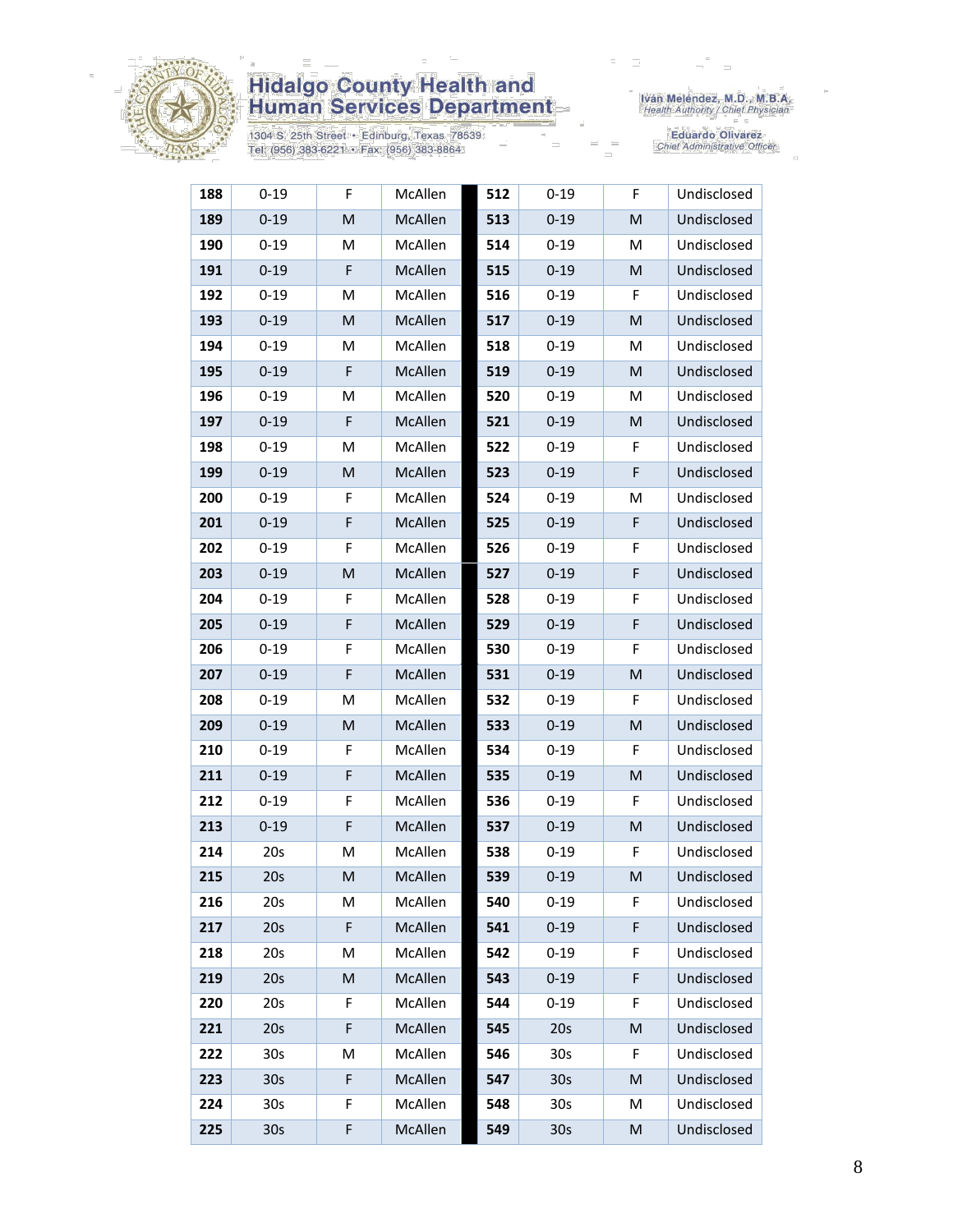

1304 S. 25th Street • Edinburg, Texas 78539<br>Tel: (956) 383-6221 • Fax: (956) 383-8864

Iván Meléndez, M.D., M.B.A.<br>Health Authority / Chief Physician

| 188 | $0 - 19$        | F           | McAllen | 512 | $0 - 19$        | F.        | Undisclosed |
|-----|-----------------|-------------|---------|-----|-----------------|-----------|-------------|
| 189 | $0 - 19$        | M           | McAllen | 513 | $0 - 19$        | M         | Undisclosed |
| 190 | $0 - 19$        | M           | McAllen | 514 | $0 - 19$        | M         | Undisclosed |
| 191 | $0 - 19$        | F           | McAllen | 515 | $0 - 19$        | M         | Undisclosed |
| 192 | $0 - 19$        | M           | McAllen | 516 | $0 - 19$        | F         | Undisclosed |
| 193 | $0 - 19$        | M           | McAllen | 517 | $0 - 19$        | M         | Undisclosed |
| 194 | $0 - 19$        | м           | McAllen | 518 | $0 - 19$        | М         | Undisclosed |
| 195 | $0 - 19$        | F           | McAllen | 519 | $0 - 19$        | M         | Undisclosed |
| 196 | $0 - 19$        | M           | McAllen | 520 | $0 - 19$        | M         | Undisclosed |
| 197 | $0 - 19$        | F           | McAllen | 521 | $0 - 19$        | M         | Undisclosed |
| 198 | $0 - 19$        | M           | McAllen | 522 | $0 - 19$        | F         | Undisclosed |
| 199 | $0 - 19$        | M           | McAllen | 523 | $0 - 19$        | F         | Undisclosed |
| 200 | $0 - 19$        | F           | McAllen | 524 | $0 - 19$        | M         | Undisclosed |
| 201 | $0 - 19$        | F           | McAllen | 525 | $0 - 19$        | F         | Undisclosed |
| 202 | $0 - 19$        | F           | McAllen | 526 | $0 - 19$        | F         | Undisclosed |
| 203 | $0 - 19$        | M           | McAllen | 527 | $0 - 19$        | F         | Undisclosed |
| 204 | $0 - 19$        | F           | McAllen | 528 | $0 - 19$        | F         | Undisclosed |
| 205 | $0 - 19$        | F           | McAllen | 529 | $0 - 19$        | F         | Undisclosed |
| 206 | $0 - 19$        | F           | McAllen | 530 | $0 - 19$        | F         | Undisclosed |
| 207 | $0 - 19$        | F           | McAllen | 531 | $0 - 19$        | M         | Undisclosed |
| 208 | $0 - 19$        | м           | McAllen | 532 | $0 - 19$        | F         | Undisclosed |
| 209 | $0 - 19$        | M           | McAllen | 533 | $0 - 19$        | M         | Undisclosed |
| 210 | $0 - 19$        | F           | McAllen | 534 | $0 - 19$        | F         | Undisclosed |
| 211 | $0 - 19$        | F           | McAllen | 535 | $0 - 19$        | M         | Undisclosed |
| 212 | $0 - 19$        | F           | McAllen | 536 | $0 - 19$        | F         | Undisclosed |
| 213 | $0 - 19$        | $\mathsf F$ | McAllen | 537 | $0 - 19$        | M         | Undisclosed |
| 214 | 20s             | M           | McAllen | 538 | $0 - 19$        | F         | Undisclosed |
| 215 | 20s             | M           | McAllen | 539 | $0 - 19$        | M         | Undisclosed |
| 216 | 20s             | М           | McAllen | 540 | $0 - 19$        | F         | Undisclosed |
| 217 | 20s             | F           | McAllen | 541 | $0 - 19$        | F         | Undisclosed |
| 218 | 20s             | M           | McAllen | 542 | $0 - 19$        | F         | Undisclosed |
| 219 | 20s             | M           | McAllen | 543 | $0 - 19$        | F         | Undisclosed |
| 220 | 20s             | F           | McAllen | 544 | $0 - 19$        | F         | Undisclosed |
| 221 | 20s             | F           | McAllen | 545 | 20s             | M         | Undisclosed |
| 222 | 30 <sub>s</sub> | М           | McAllen | 546 | 30 <sub>s</sub> | F         | Undisclosed |
| 223 | 30 <sub>s</sub> | F           | McAllen | 547 | 30 <sub>s</sub> | M         | Undisclosed |
| 224 | 30 <sub>s</sub> | F           | McAllen | 548 | 30 <sub>s</sub> | M         | Undisclosed |
| 225 | 30s             | F           | McAllen | 549 | 30s             | ${\sf M}$ | Undisclosed |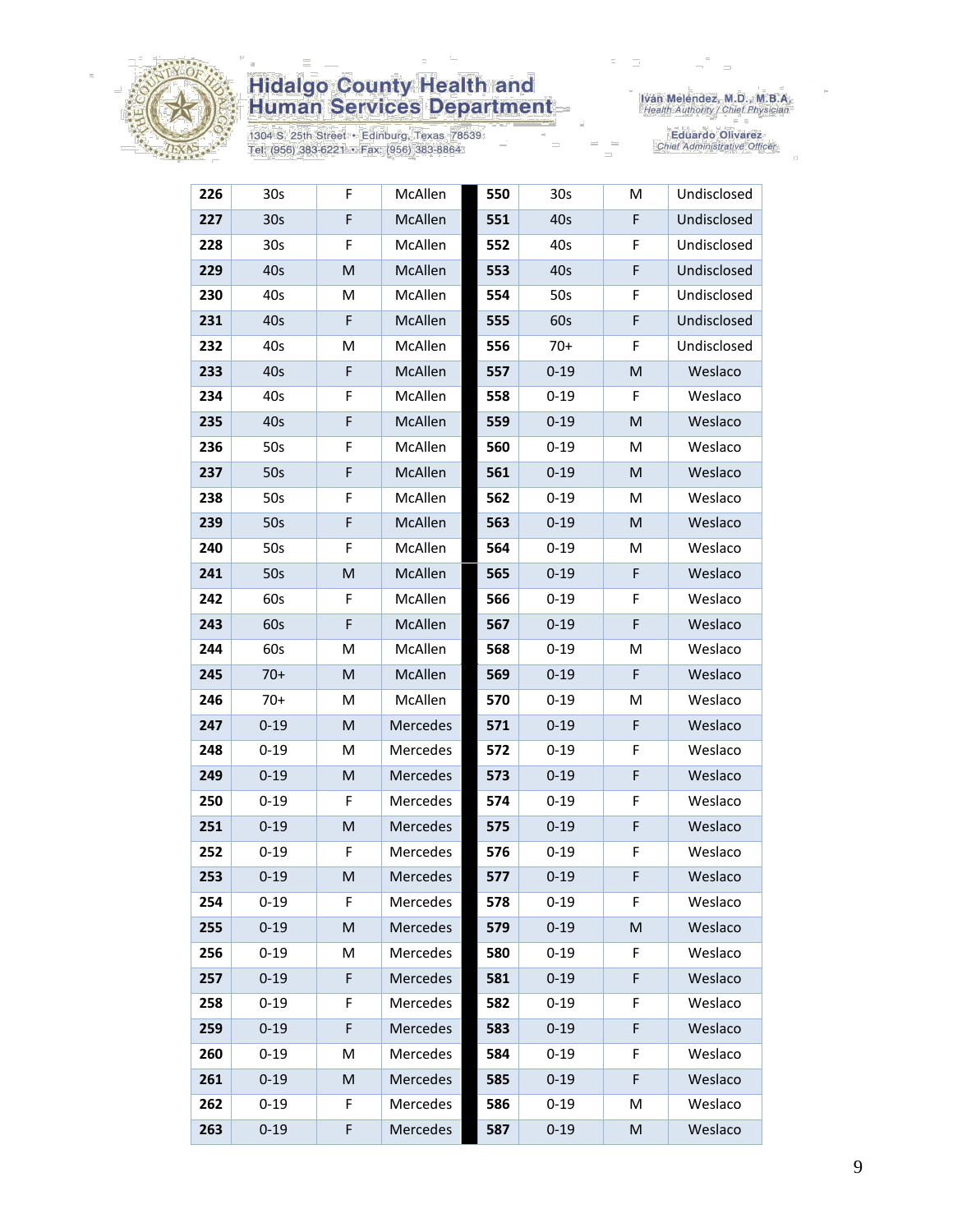

1304 S. 25th Street • Edinburg, Texas 78539<br>Tel: (956) 383-6221 • Fax: (956) 383-8864

Iván Meléndez, M.D., M.B.A.<br>Health Authority / Chief Physician

| 226 | 30s             | F | McAllen  | 550 | 30 <sub>s</sub> | M         | Undisclosed |
|-----|-----------------|---|----------|-----|-----------------|-----------|-------------|
| 227 | 30 <sub>s</sub> | F | McAllen  | 551 | 40s             | F         | Undisclosed |
| 228 | 30s             | F | McAllen  | 552 | 40s             | F         | Undisclosed |
| 229 | 40s             | M | McAllen  | 553 | 40s             | F         | Undisclosed |
| 230 | 40s             | M | McAllen  | 554 | 50s             | F         | Undisclosed |
| 231 | 40s             | F | McAllen  | 555 | 60s             | F         | Undisclosed |
| 232 | 40s             | Μ | McAllen  | 556 | $70+$           | F         | Undisclosed |
| 233 | 40s             | F | McAllen  | 557 | $0 - 19$        | ${\sf M}$ | Weslaco     |
| 234 | 40s             | F | McAllen  | 558 | $0 - 19$        | F         | Weslaco     |
| 235 | 40s             | F | McAllen  | 559 | $0 - 19$        | M         | Weslaco     |
| 236 | 50s             | F | McAllen  | 560 | $0 - 19$        | M         | Weslaco     |
| 237 | 50s             | F | McAllen  | 561 | $0 - 19$        | M         | Weslaco     |
| 238 | 50s             | F | McAllen  | 562 | $0 - 19$        | M         | Weslaco     |
| 239 | 50s             | F | McAllen  | 563 | $0 - 19$        | M         | Weslaco     |
| 240 | 50s             | F | McAllen  | 564 | $0 - 19$        | M         | Weslaco     |
| 241 | 50s             | M | McAllen  | 565 | $0 - 19$        | F         | Weslaco     |
| 242 | 60s             | F | McAllen  | 566 | $0 - 19$        | F         | Weslaco     |
| 243 | 60s             | F | McAllen  | 567 | $0 - 19$        | F         | Weslaco     |
| 244 | 60s             | M | McAllen  | 568 | $0 - 19$        | M         | Weslaco     |
| 245 | $70+$           | M | McAllen  | 569 | $0 - 19$        | F         | Weslaco     |
| 246 | $70+$           | М | McAllen  | 570 | $0 - 19$        | M         | Weslaco     |
| 247 | $0 - 19$        | M | Mercedes | 571 | $0 - 19$        | F         | Weslaco     |
| 248 | $0 - 19$        | M | Mercedes | 572 | $0 - 19$        | F         | Weslaco     |
| 249 | $0 - 19$        | M | Mercedes | 573 | $0 - 19$        | F         | Weslaco     |
| 250 | $0 - 19$        | F | Mercedes | 574 | $0 - 19$        | F         | Weslaco     |
| 251 | $0 - 19$        | M | Mercedes | 575 | $0 - 19$        | F         | Weslaco     |
| 252 | $0 - 19$        | F | Mercedes | 576 | $0 - 19$        | F         | Weslaco     |
| 253 | $0 - 19$        | M | Mercedes | 577 | $0 - 19$        | F         | Weslaco     |
| 254 | $0 - 19$        | F | Mercedes | 578 | $0 - 19$        | F         | Weslaco     |
| 255 | $0 - 19$        | M | Mercedes | 579 | $0 - 19$        | M         | Weslaco     |
| 256 | $0 - 19$        | М | Mercedes | 580 | $0 - 19$        | F         | Weslaco     |
| 257 | $0 - 19$        | F | Mercedes | 581 | $0 - 19$        | F         | Weslaco     |
| 258 | $0 - 19$        | F | Mercedes | 582 | $0 - 19$        | F         | Weslaco     |
| 259 | $0 - 19$        | F | Mercedes | 583 | $0 - 19$        | F         | Weslaco     |
| 260 | $0 - 19$        | M | Mercedes | 584 | $0 - 19$        | F         | Weslaco     |
| 261 | $0 - 19$        | M | Mercedes | 585 | $0 - 19$        | F         | Weslaco     |
| 262 | $0 - 19$        | F | Mercedes | 586 | $0 - 19$        | M         | Weslaco     |
| 263 | $0 - 19$        | F | Mercedes | 587 | $0 - 19$        | M         | Weslaco     |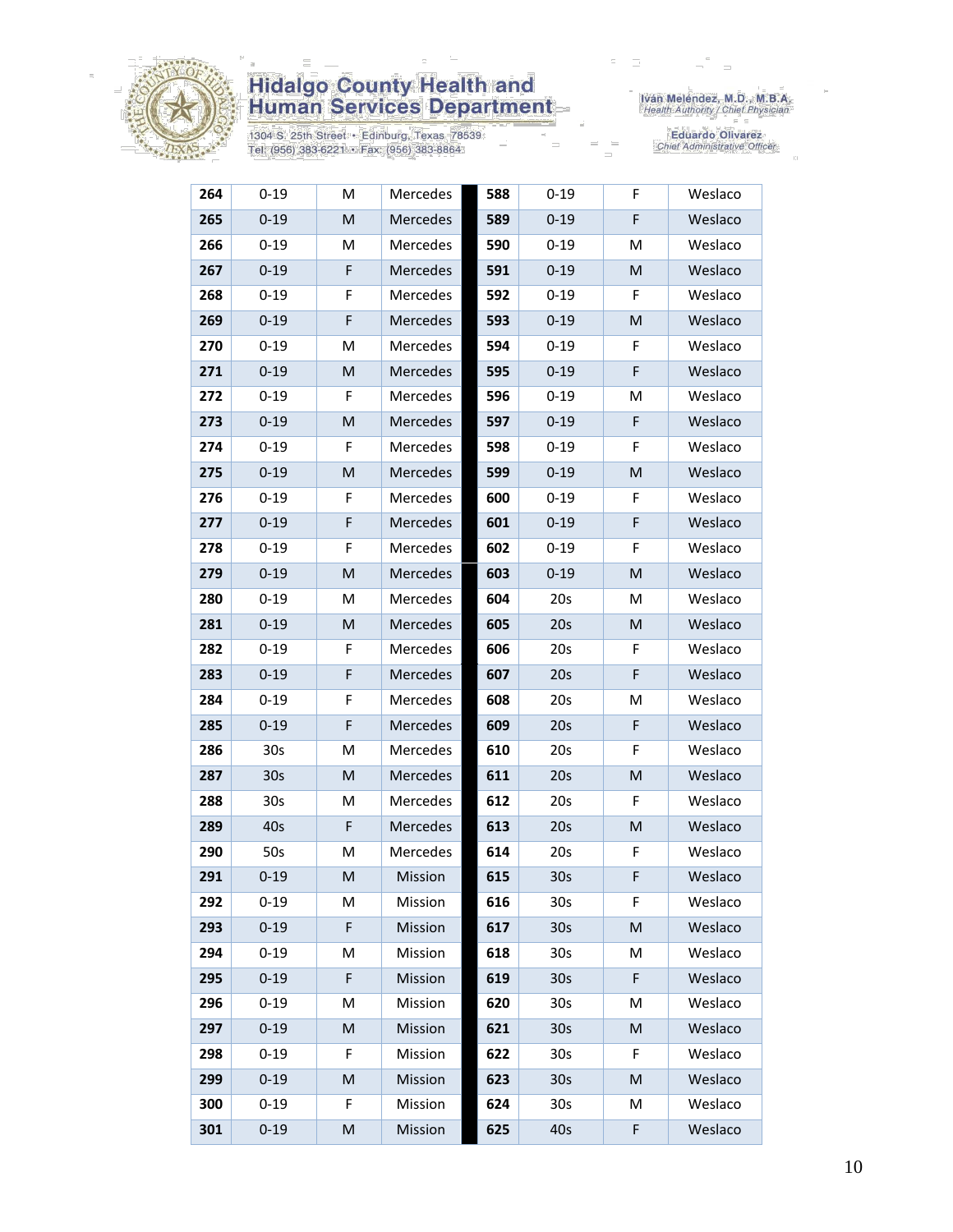

1304 S. 25th Street • Edinburg, Texas 78539<br>Tel: (956) 383-6221 • Fax: (956) 383-8864

Iván Meléndez, M.D., M.B.A.<br>Health Authority / Chief Physician

| 264 | $0 - 19$        | M                                                                                                          | Mercedes | 588 | $0 - 19$        | F                                                                                                          | Weslaco |
|-----|-----------------|------------------------------------------------------------------------------------------------------------|----------|-----|-----------------|------------------------------------------------------------------------------------------------------------|---------|
| 265 | $0 - 19$        | M                                                                                                          | Mercedes | 589 | $0 - 19$        | F                                                                                                          | Weslaco |
| 266 | $0 - 19$        | M                                                                                                          | Mercedes | 590 | $0 - 19$        | M                                                                                                          | Weslaco |
| 267 | $0 - 19$        | F                                                                                                          | Mercedes | 591 | $0 - 19$        | M                                                                                                          | Weslaco |
| 268 | $0 - 19$        | F                                                                                                          | Mercedes | 592 | $0 - 19$        | F                                                                                                          | Weslaco |
| 269 | $0 - 19$        | $\mathsf F$                                                                                                | Mercedes | 593 | $0 - 19$        | M                                                                                                          | Weslaco |
| 270 | $0 - 19$        | M                                                                                                          | Mercedes | 594 | $0 - 19$        | F                                                                                                          | Weslaco |
| 271 | $0 - 19$        | M                                                                                                          | Mercedes | 595 | $0 - 19$        | F                                                                                                          | Weslaco |
| 272 | $0 - 19$        | F                                                                                                          | Mercedes | 596 | $0 - 19$        | M                                                                                                          | Weslaco |
| 273 | $0 - 19$        | $\mathsf{M}% _{T}=\mathsf{M}_{T}\!\left( a,b\right) ,\ \mathsf{M}_{T}=\mathsf{M}_{T}\!\left( a,b\right) ,$ | Mercedes | 597 | $0 - 19$        | F                                                                                                          | Weslaco |
| 274 | $0 - 19$        | F                                                                                                          | Mercedes | 598 | $0 - 19$        | F                                                                                                          | Weslaco |
| 275 | $0 - 19$        | M                                                                                                          | Mercedes | 599 | $0 - 19$        | M                                                                                                          | Weslaco |
| 276 | $0 - 19$        | F                                                                                                          | Mercedes | 600 | $0 - 19$        | F                                                                                                          | Weslaco |
| 277 | $0 - 19$        | $\mathsf F$                                                                                                | Mercedes | 601 | $0 - 19$        | F                                                                                                          | Weslaco |
| 278 | $0 - 19$        | F                                                                                                          | Mercedes | 602 | $0 - 19$        | F                                                                                                          | Weslaco |
| 279 | $0 - 19$        | M                                                                                                          | Mercedes | 603 | $0 - 19$        | M                                                                                                          | Weslaco |
| 280 | $0 - 19$        | M                                                                                                          | Mercedes | 604 | 20s             | M                                                                                                          | Weslaco |
| 281 | $0 - 19$        | M                                                                                                          | Mercedes | 605 | 20s             | M                                                                                                          | Weslaco |
| 282 | $0 - 19$        | F                                                                                                          | Mercedes | 606 | 20s             | F                                                                                                          | Weslaco |
| 283 | $0 - 19$        | $\mathsf F$                                                                                                | Mercedes | 607 | 20s             | F                                                                                                          | Weslaco |
| 284 | $0 - 19$        | F                                                                                                          | Mercedes | 608 | 20s             | M                                                                                                          | Weslaco |
| 285 | $0 - 19$        | F                                                                                                          | Mercedes | 609 | 20s             | F                                                                                                          | Weslaco |
| 286 | 30s             | M                                                                                                          | Mercedes | 610 | 20s             | F                                                                                                          | Weslaco |
| 287 | 30 <sub>s</sub> | $\mathsf{M}% _{T}=\mathsf{M}_{T}\!\left( a,b\right) ,\ \mathsf{M}_{T}=\mathsf{M}_{T}\!\left( a,b\right) ,$ | Mercedes | 611 | 20s             | $\mathsf{M}% _{T}=\mathsf{M}_{T}\!\left( a,b\right) ,\ \mathsf{M}_{T}=\mathsf{M}_{T}\!\left( a,b\right) ,$ | Weslaco |
| 288 | 30s             | М                                                                                                          | Mercedes | 612 | 20s             | F                                                                                                          | Weslaco |
| 289 | 40s             | F                                                                                                          | Mercedes | 613 | 20s             | M                                                                                                          | Weslaco |
| 290 | 50s             | M                                                                                                          | Mercedes | 614 | 20s             | F                                                                                                          | Weslaco |
| 291 | $0 - 19$        | M                                                                                                          | Mission  | 615 | 30 <sub>s</sub> | F                                                                                                          | Weslaco |
| 292 | $0 - 19$        | M                                                                                                          | Mission  | 616 | 30 <sub>s</sub> | F                                                                                                          | Weslaco |
| 293 | $0 - 19$        | F                                                                                                          | Mission  | 617 | 30 <sub>s</sub> | M                                                                                                          | Weslaco |
| 294 | $0 - 19$        | M                                                                                                          | Mission  | 618 | 30 <sub>s</sub> | M                                                                                                          | Weslaco |
| 295 | $0 - 19$        | F                                                                                                          | Mission  | 619 | 30 <sub>s</sub> | F                                                                                                          | Weslaco |
| 296 | $0 - 19$        | M                                                                                                          | Mission  | 620 | 30 <sub>s</sub> | м                                                                                                          | Weslaco |
| 297 | $0 - 19$        | M                                                                                                          | Mission  | 621 | 30 <sub>s</sub> | M                                                                                                          | Weslaco |
| 298 | $0 - 19$        | F                                                                                                          | Mission  | 622 | 30 <sub>s</sub> | F                                                                                                          | Weslaco |
| 299 | $0 - 19$        | M                                                                                                          | Mission  | 623 | 30 <sub>s</sub> | M                                                                                                          | Weslaco |
| 300 | $0 - 19$        | F                                                                                                          | Mission  | 624 | 30s             | M                                                                                                          | Weslaco |
| 301 | $0 - 19$        | M                                                                                                          | Mission  | 625 | 40s             | F                                                                                                          | Weslaco |